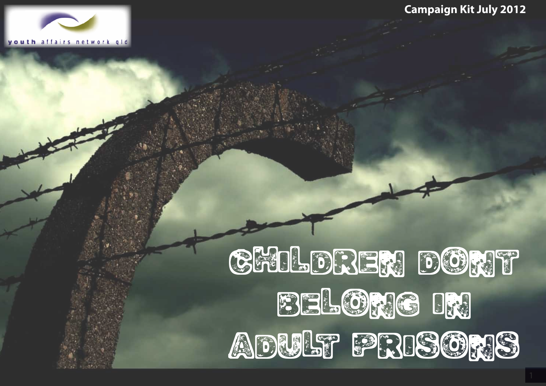



# Children DORT **belong in** ADULT PRISORIS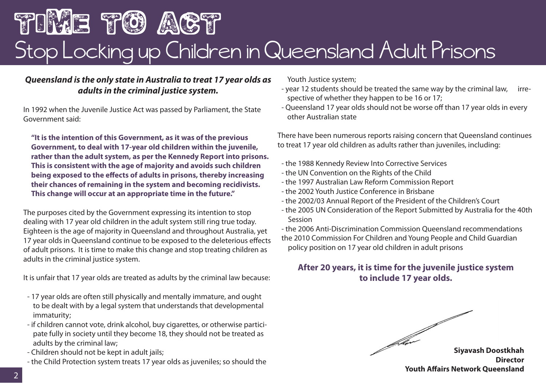# TIME TO ACT Stop Locking up Children in Queensland Adult Prisons

#### *Queensland is the only state in Australia to treat 17 year olds as adults in the criminal justice system.*

In 1992 when the Juvenile Justice Act was passed by Parliament, the State Government said:

**"It is the intention of this Government, as it was of the previous Government, to deal with 17-year old children within the juvenile, rather than the adult system, as per the Kennedy Report into prisons. This is consistent with the age of majority and avoids such children being exposed to the effects of adults in prisons, thereby increasing their chances of remaining in the system and becoming recidivists. This change will occur at an appropriate time in the future."** 

The purposes cited by the Government expressing its intention to stop dealing with 17 year old children in the adult system still ring true today. Eighteen is the age of majority in Queensland and throughout Australia, yet 17 year olds in Queensland continue to be exposed to the deleterious effects of adult prisons. It is time to make this change and stop treating children as adults in the criminal justice system.

It is unfair that 17 year olds are treated as adults by the criminal law because:

- 17 year olds are often still physically and mentally immature, and ought to be dealt with by a legal system that understands that developmental immaturity;
- if children cannot vote, drink alcohol, buy cigarettes, or otherwise participate fully in society until they become 18, they should not be treated as adults by the criminal law;
- Children should not be kept in adult jails;
- the Child Protection system treats 17 year olds as juveniles; so should the

Youth Justice system;

- year 12 students should be treated the same way by the criminal law, irrespective of whether they happen to be 16 or 17;
- Queensland 17 year olds should not be worse off than 17 year olds in every other Australian state

There have been numerous reports raising concern that Queensland continues to treat 17 year old children as adults rather than juveniles, including:

- the 1988 Kennedy Review Into Corrective Services
- the UN Convention on the Rights of the Child
- the 1997 Australian Law Reform Commission Report
- the 2002 Youth Justice Conference in Brisbane
- the 2002/03 Annual Report of the President of the Children's Court
- the 2005 UN Consideration of the Report Submitted by Australia for the 40th Session

- the 2006 Anti-Discrimination Commission Queensland recommendations the 2010 Commission For Children and Young People and Child Guardian policy position on 17 year old children in adult prisons

#### **After 20 years, it is time for the juvenile justice system to include 17 year olds.**

**Siyavash Doostkhah Director Youth Affairs Network Queensland**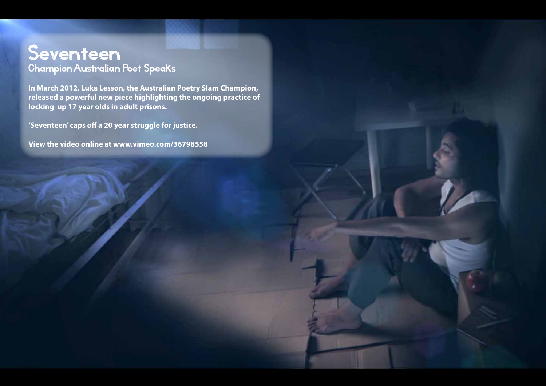## Seventeen Champion Australian Poet Speaks

**In March 2012, Luka Lesson, the Australian Poetry Slam Champion, released a powerful new piece highlighting the ongoing practice of locking up 17 year olds in adult prisons.** 

**'Seventeen' caps off a 20 year struggle for justice.** 

**View the video online at www.vimeo.com/36798558**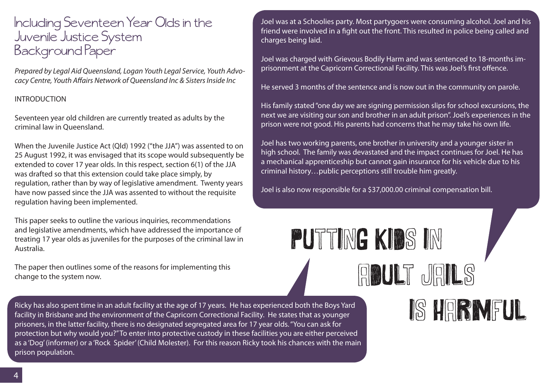# Including Seventeen Year Olds in the Juvenile Justice System Background Paper

*Prepared by Legal Aid Queensland, Logan Youth Legal Service, Youth Advocacy Centre, Youth Affairs Network of Queensland Inc & Sisters Inside Inc*

#### INTRODUCTION

Seventeen year old children are currently treated as adults by the criminal law in Queensland.

When the Juvenile Justice Act (Qld) 1992 ("the JJA") was assented to on 25 August 1992, it was envisaged that its scope would subsequently be extended to cover 17 year olds. In this respect, section 6(1) of the JJA was drafted so that this extension could take place simply, by regulation, rather than by way of legislative amendment. Twenty years have now passed since the JJA was assented to without the requisite regulation having been implemented.

This paper seeks to outline the various inquiries, recommendations and legislative amendments, which have addressed the importance of treating 17 year olds as juveniles for the purposes of the criminal law in Australia.

The paper then outlines some of the reasons for implementing this change to the system now.

Ricky has also spent time in an adult facility at the age of 17 years. He has experienced both the Boys Yard facility in Brisbane and the environment of the Capricorn Correctional Facility. He states that as younger prisoners, in the latter facility, there is no designated segregated area for 17 year olds. "You can ask for protection but why would you?" To enter into protective custody in these facilities you are either perceived as a 'Dog' (informer) or a 'Rock Spider' (Child Molester). For this reason Ricky took his chances with the main prison population.

Joel was at a Schoolies party. Most partygoers were consuming alcohol. Joel and his friend were involved in a fight out the front. This resulted in police being called and charges being laid.

Joel was charged with Grievous Bodily Harm and was sentenced to 18-months imprisonment at the Capricorn Correctional Facility. This was Joel's first offence.

He served 3 months of the sentence and is now out in the community on parole.

His family stated "one day we are signing permission slips for school excursions, the next we are visiting our son and brother in an adult prison". Joel's experiences in the prison were not good. His parents had concerns that he may take his own life.

Joel has two working parents, one brother in university and a younger sister in high school. The family was devastated and the impact continues for Joel. He has a mechanical apprenticeship but cannot gain insurance for his vehicle due to his criminal history…public perceptions still trouble him greatly.

adult jails

Joel is also now responsible for a \$37,000.00 criminal compensation bill.

putting kids in

# is harmful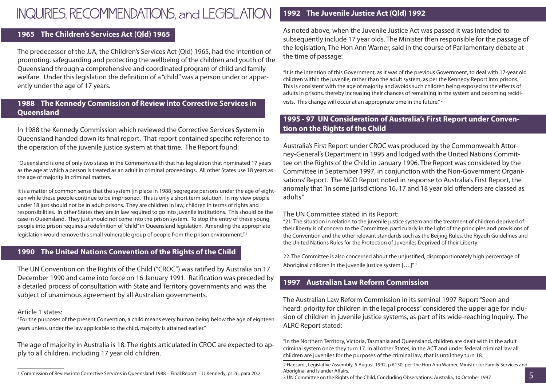# INQUIRIES, RECOMMENDATIONS, and LEGISLATION

#### **1965 The Children's Services Act (Qld) 1965**

The predecessor of the JJA, the Children's Services Act (Qld) 1965, had the intention of promoting, safeguarding and protecting the wellbeing of the children and youth of the Queensland through a comprehensive and coordinated program of child and family welfare. Under this legislation the definition of a "child" was a person under or apparently under the age of 17 years.

#### **1988 The Kennedy Commission of Review into Corrective Services in Queensland**

In 1988 the Kennedy Commission which reviewed the Corrective Services System in Queensland handed down its final report. That report contained specific reference to the operation of the juvenile justice system at that time. The Report found:

"Queensland is one of only two states in the Commonwealth that has legislation that nominated 17 years as the age at which a person is treated as an adult in criminal proceedings. All other States use 18 years as the age of majority in criminal matters.

It is a matter of common sense that the system [in place in 1988] segregate persons under the age of eighteen while these people continue to be imprisoned. This is only a short term solution. In my view people under 18 just should not be in adult prisons. They are children in law, children in terms of rights and responsibilities. In other States they are in law required to go into juvenile institutions. This should be the case in Queensland. They just should not come into the prison system. To stop the entry of these young people into prison requires a redefinition of "child" in Queensland legislation. Amending the appropriate legislation would remove this small vulnerable group of people from the prison environment."<sup>1</sup>

#### **1990 The United Nations Convention of the Rights of the Child**

The UN Convention on the Rights of the Child ("CROC") was ratified by Australia on 17 December 1990 and came into force on 16 January 1991. Ratification was preceded by a detailed process of consultation with State and Territory governments and was the subject of unanimous agreement by all Australian governments.

#### Article 1 states:

"For the purposes of the present Convention, a child means every human being below the age of eighteen years unless, under the law applicable to the child, majority is attained earlier."

The age of majority in Australia is 18. The rights articulated in CROC areexpected to apply to all children, including 17 year old children.

#### **1992 The Juvenile Justice Act (Qld) 1992**

As noted above, when the Juvenile Justice Act was passed it was intended to subsequently include 17 year olds. The Minister then responsible for the passage of the legislation, The Hon Ann Warner, said in the course of Parliamentary debate at the time of passage:

"It is the intention of this Government, as it was of the previous Government, to deal with 17-year old children within the juvenile, rather than the adult system, as per the Kennedy Report into prisons. This is consistent with the age of majority and avoids such children being exposed to the effects of adults in prisons, thereby increasing their chances of remaining in the system and becoming recidivists. This change will occur at an appropriate time in the future." 2

#### **1995 - 97 UN Consideration of Australia's First Report under Convention on the Rights of the Child**

Australia's First Report under CROC was produced by the Commonwealth Attorney-General's Department in 1995 and lodged with the United Nations Committee on the Rights of the Child in January 1996. The Report was considered by the Committee in September 1997, in conjunction with the Non-Government Organisations' Report. The NGO Report noted in response to Australia's First Report, the anomaly that "in some jurisdictions 16, 17 and 18 year old offenders are classed as adults."

#### The UN Committee stated in its Report:

"21. The situation in relation to the juvenile justice system and the treatment of children deprived of their liberty is of concern to the Committee, particularly in the light of the principles and provisions of the Convention and the other relevant standards such as the Beijing Rules, the Riyadh Guidelines and the United Nations Rules for the Protection of Juveniles Deprived of their Liberty.

22. The Committee is also concerned about the unjustified, disproportionately high percentage of Aboriginal children in the juvenile justice system [....]<sup>"3</sup>

#### **1997 Australian Law Reform Commission**

The Australian Law Reform Commission in its seminal 1997 Report "Seen and heard: priority for children in the legal process" considered the upper age for inclusion of children in juvenile justice systems, as part of its wide-reaching Inquiry. The ALRC Report stated:

"In the Northern Territory, Victoria, Tasmania and Queensland, children are dealt with in the adult criminal system once they turn 17. In all other States, in the ACT and under federal criminal law all children are juveniles for the purposes of the criminal law, that is until they turn 18.

3 UN Committee on the Rights of the Child, Concluding Observations: Australia, 10 October 1997

<sup>1</sup> Commission of Review into Corrective Services in Queensland 1988 – Final Report – JJ Kennedy, p126, para 20.2

<sup>2</sup> Hansard , Legislative Assembly, 5 August 1992, p 6130, per The Hon Ann Warner, Minister for Family Services and Aboriginal and Islander Affairs.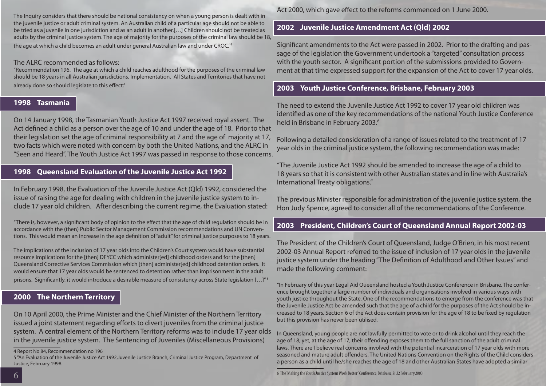The Inquiry considers that there should be national consistency on when a young person is dealt with in the juvenile justice or adult criminal system. An Australian child of a particular age should not be able to be tried as a juvenile in one jurisdiction and as an adult in another.[…] Children should not be treated as adults by the criminal justice system. The age of majority for the purposes of the criminal law should be 18, the age at which a child becomes an adult under general Australian law and under CROC."4

#### The ALRC recommended as follows:

"Recommendation 196. The age at which a child reaches adulthood for the purposes of the criminal law should be 18 years in all Australian jurisdictions. Implementation. All States and Territories that have not already done so should legislate to this effect."

#### **1998 Tasmania**

On 14 January 1998, the Tasmanian Youth Justice Act 1997 received royal assent. The Act defined a child as a person over the age of 10 and under the age of 18. Prior to that their legislation set the age of criminal responsibility at 7 and the age of majority at 17, two facts which were noted with concern by both the United Nations, and the ALRC in "Seen and Heard". The Youth Justice Act 1997 was passed in response to those concerns.

#### **1998 Queensland Evaluation of the Juvenile Justice Act 1992**

In February 1998, the Evaluation of the Juvenile Justice Act (Qld) 1992, considered the issue of raising the age for dealing with children in the juvenile justice system to include 17 year old children. After describing the current regime, the Evaluation stated:

"There is, however, a significant body of opinion to the effect that the age of child regulation should be in accordance with the (then) Public Sector Management Commission recommendations and UN Conventions. This would mean an increase in the age definition of "adult" for criminal justice purposes to 18 years.

The implications of the inclusion of 17 year olds into the Children's Court system would have substantial resource implications for the [then] DFYCC which administer[ed] childhood orders and for the [then] Queensland Corrective Services Commission which [then] administer[ed] childhood detention orders. It would ensure that 17 year olds would be sentenced to detention rather than imprisonment in the adult prisons. Significantly, it would introduce a desirable measure of consistency across State legislation […]" 5

#### **2000 The Northern Territory**

On 10 April 2000, the Prime Minister and the Chief Minister of the Northern Territory issued a joint statement regarding efforts to divert juveniles from the criminal justice system. A central element of the Northern Territory reforms was to include 17 year olds in the juvenile justice system. The Sentencing of Juveniles (Miscellaneous Provisions)

Act 2000, which gave effect to the reforms commenced on 1 June 2000.

#### **2002 Juvenile Justice Amendment Act (Qld) 2002**

Significant amendments to the Act were passed in 2002. Prior to the drafting and passage of the legislation the Government undertook a "targeted" consultation process with the youth sector. A significant portion of the submissions provided to Government at that time expressed support for the expansion of the Act to cover 17 year olds.

#### **2003 Youth Justice Conference, Brisbane, February 2003**

The need to extend the Juvenile Justice Act 1992 to cover 17 year old children was identified as one of the key recommendations of the national Youth Justice Conference held in Brisbane in February 2003.<sup>6</sup>

Following a detailed consideration of a range of issues related to the treatment of 17 year olds in the criminal justice system, the following recommendation was made:

"The Juvenile Justice Act 1992 should be amended to increase the age of a child to 18 years so that it is consistent with other Australian states and in line with Australia's International Treaty obligations."

The previous Minister responsible for administration of the juvenile justice system, the Hon Judy Spence, agreed to consider all of the recommendations of the Conference.

#### **2003 President, Children's Court of Queensland Annual Report 2002-03**

The President of the Children's Court of Queensland, Judge O'Brien, in his most recent 2002-03 Annual Report referred to the issue of inclusion of 17 year olds in the juvenile justice system under the heading "The Definition of Adulthood and Other Issues" and made the following comment:

"In February of this year Legal Aid Queensland hosted a Youth Justice Conference in Brisbane. The conference brought together a large number of individuals and organisations involved in various ways with youth justice throughout the State. One of the recommendations to emerge from the conference was that the Juvenile Justice Act be amended such that the age of a child for the purposes of the Act should be increased to 18 years. Section 6 of the Act does contain provision for the age of 18 to be fixed by regulation but this provision has never been utilised.

In Queensland, young people are not lawfully permitted to vote or to drink alcohol until they reach the age of 18, yet, at the age of 17, their offending exposes them to the full sanction of the adult criminal laws. There are I believe real concerns involved with the potential incarceration of 17 year olds with more seasoned and mature adult offenders. The United Nations Convention on the Rights of the Child considers a person as a child until he/she reaches the age of 18 and other Australian States have adopted a similar

<sup>4</sup> Report No 84, Recommendation no 196

<sup>5 &</sup>quot;An Evaluation of the Juvenile Justice Act 1992,Juvenile Justice Branch, Criminal Justice Program, Department of Justice, February 1998.

<sup>6</sup> The "Making the Youth Justice System Work Better" Conference, Brisbane, 21-22 February 2003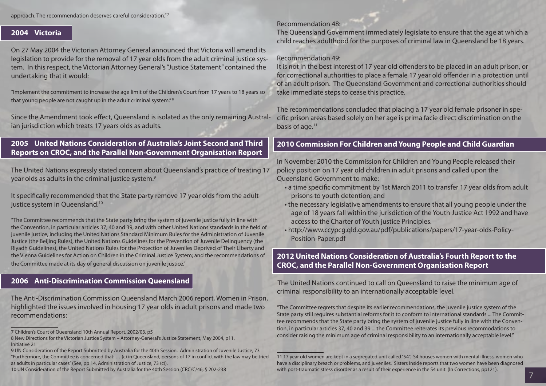approach. The recommendation deserves careful consideration." 7

#### **2004 Victoria**

On 27 May 2004 the Victorian Attorney General announced that Victoria will amend its legislation to provide for the removal of 17 year olds from the adult criminal justice system. In this respect, the Victorian Attorney General's "Justice Statement" contained the undertaking that it would:

"Implement the commitment to increase the age limit of the Children's Court from 17 years to 18 years so that young people are not caught up in the adult criminal system."<sup>8</sup>

Since the Amendment took effect, Queensland is isolated as the only remaining Australian jurisdiction which treats 17 years olds as adults.

#### **2005 United Nations Consideration of Australia's Joint Second and Third Reports on CROC, and the Parallel Non-Government Organisation Report**

The United Nations expressly stated concern about Queensland's practice of treating 17 year olds as adults in the criminal justice system. $9$ 

It specifically recommended that the State party remove 17 year olds from the adult justice system in Queensland.<sup>10</sup>

"The Committee recommends that the State party bring the system of juvenile justice fully in line with the Convention, in particular articles 37, 40 and 39, and with other United Nations standards in the field of juvenile justice, including the United Nations Standard Minimum Rules for the Administration of Juvenile Justice (the Beijing Rules), the United Nations Guidelines for the Prevention of Juvenile Delinquency (the Riyadh Guidelines), the United Nations Rules for the Protection of Juveniles Deprived of Their Liberty and the Vienna Guidelines for Action on Children in the Criminal Justice System; and the recommendations of the Committee made at its day of general discussion on juvenile justice."

#### **2006 Anti-Discrimination Commission Queensland**

The Anti-Discrimination Commission Queensland March 2006 report, Women in Prison, highlighted the issues involved in housing 17 year olds in adult prisons and made two recommendations:

#### Recommendation 48:

The Queensland Government immediately legislate to ensure that the age at which a child reaches adulthood for the purposes of criminal law in Queensland be 18 years.

#### Recommendation 49:

It is not in the best interest of 17 year old offenders to be placed in an adult prison, or for correctional authorities to place a female 17 year old offender in a protection until of an adult prison. The Queensland Government and correctional authorities should take immediate steps to cease this practice.

The recommendations concluded that placing a 17 year old female prisoner in specific prison areas based solely on her age is prima facie direct discrimination on the basis of age.<sup>11</sup>

#### **2010 Commission For Children and Young People and Child Guardian**

In November 2010 the Commission for Children and Young People released their policy position on 17 year old children in adult prisons and called upon the Queensland Government to make:

- a time specific commitment by 1st March 2011 to transfer 17 year olds from adult prisons to youth detention; and
- the necessary legislative amendments to ensure that all young people under the age of 18 years fall within the jurisdiction of the Youth Justice Act 1992 and have access to the Charter of Youth justice Principles.
- http://www.ccypcg.qld.gov.au/pdf/publications/papers/17-year-olds-Policy-Position-Paper.pdf

#### **2012 United Nations Consideration of Australia's Fourth Report to the CROC, and the Parallel Non-Government Organisation Report**

The United Nations continued to call on Queensland to raise the minimum age of criminal responsibility to an internationally acceptable level.

"The Committee regrets that despite its earlier recommendations, the juvenile justice system of the State party still requires substantial reforms for it to conform to international standards ... The Committee recommends that the State party bring the system of juvenile justice fully in line with the Convention, in particular articles 37, 40 and 39 ... the Committee reiterates its previous recommodations to consider raising the minimum age of criminal responsibility to an internationally acceptable level."

<sup>7</sup> Children's Court of Queensland 10th Annual Report, 2002/03, p5

<sup>8</sup> New Directions for the Victorian Justice System – Attorney-General's Justice Statement, May 2004, p11, Initiative 21

<sup>9</sup> UN Consideration of the Report Submitted by Australia for the 40th Session. Administration of Juvenile Justice, 73 "Furthermore, the Committee is concerned that: … (c) in Queensland, persons of 17 in conflict with the law may be tried as adults in particular cases" (See, pp 14, Administration of Justice, 73 (c)).

<sup>10</sup> UN Consideration of the Report Submitted by Australia for the 40th Session (CRC/C/46, § 202-238

<sup>11 17</sup> year old women are kept in a segregated unit called "S4". S4 houses women with mental illness, women who have a disciplinary breach or problems, and juveniles. Sisters Inside reports that two women have been diagnosed with post-traumatic stress disorder as a result of their experience in the S4 unit. (In Corrections, pp121).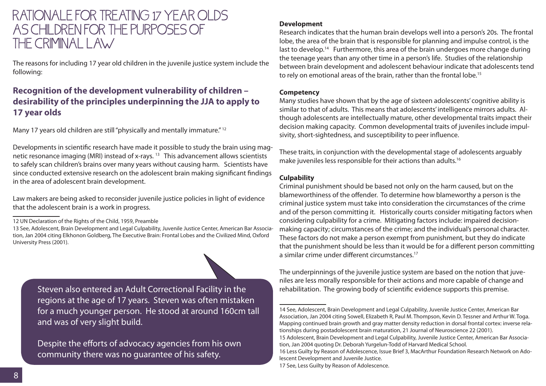### RATIONALE FOR TREATING 17 YEAR OLDS AS CHILDREN FOR THE PURPOSES OF THE CRIMINAL LAW

The reasons for including 17 year old children in the juvenile justice system include the following:

#### **Recognition of the development vulnerability of children – desirability of the principles underpinning the JJA to apply to 17 year olds**

Many 17 years old children are still "physically and mentally immature."<sup>12</sup>

Developments in scientific research have made it possible to study the brain using magnetic resonance imaging (MRI) instead of x-rays. 13 This advancement allows scientists to safely scan children's brains over many years without causing harm. Scientists have since conducted extensive research on the adolescent brain making significant findings in the area of adolescent brain development.

Law makers are being asked to reconsider juvenile justice policies in light of evidence that the adolescent brain is a work in progress.

Steven also entered an Adult Correctional Facility in the regions at the age of 17 years. Steven was often mistaken for a much younger person. He stood at around 160cm tall and was of very slight build.

Despite the efforts of advocacy agencies from his own community there was no guarantee of his safety.

#### **Development**

Research indicates that the human brain develops well into a person's 20s. The frontal lobe, the area of the brain that is responsible for planning and impulse control, is the last to develop.<sup>14</sup> Furthermore, this area of the brain undergoes more change during the teenage years than any other time in a person's life. Studies of the relationship between brain development and adolescent behaviour indicate that adolescents tend to rely on emotional areas of the brain, rather than the frontal lobe.15

#### **Competency**

Many studies have shown that by the age of sixteen adolescents' cognitive ability is similar to that of adults. This means that adolescents' intelligence mirrors adults. Although adolescents are intellectually mature, other developmental traits impact their decision making capacity. Common developmental traits of juveniles include impulsivity, short-sightedness, and susceptibility to peer influence.

These traits, in conjunction with the developmental stage of adolescents arguably make juveniles less responsible for their actions than adults.16

#### **Culpability**

Criminal punishment should be based not only on the harm caused, but on the blameworthiness of the offender. To determine how blameworthy a person is the criminal justice system must take into consideration the circumstances of the crime and of the person committing it. Historically courts consider mitigating factors when considering culpability for a crime. Mitigating factors include: impaired decisionmaking capacity; circumstances of the crime; and the individual's personal character. These factors do not make a person exempt from punishment, but they do indicate that the punishment should be less than it would be for a different person committing a similar crime under different circumstances<sup>17</sup>

The underpinnings of the juvenile justice system are based on the notion that juveniles are less morally responsible for their actions and more capable of change and rehabilitation. The growing body of scientific evidence supports this premise.

<sup>12</sup> UN Declaration of the Rights of the Child, 1959, Preamble

<sup>13</sup> See, Adolescent, Brain Development and Legal Culpability, Juvenile Justice Center, American Bar Association, Jan 2004 citing Elkhonon Goldberg, The Executive Brain: Frontal Lobes and the Civilized Mind, Oxford University Press (2001).

<sup>14</sup> See, Adolescent, Brain Development and Legal Culpability, Juvenile Justice Center, American Bar Association, Jan 2004 citing Sowell, Elizabeth R, Paul M. Thompson, Kevin D. Tessner and Arthur W. Toga. Mapping continued brain growth and gray matter density reduction in dorsal frontal cortex: inverse relationships during postadolescent brain maturation, 21 Journal of Neuroscience 22 (2001).

<sup>15</sup> Adolescent, Brain Development and Legal Culpability, Juvenile Justice Center, American Bar Association, Jan 2004 quoting Dr. Deborah Yurgelun-Todd of Harvard Medical School.

<sup>16</sup> Less Guilty by Reason of Adolescence, Issue Brief 3, MacArthur Foundation Research Network on Adolescent Development and Juvenile Justice.

<sup>17</sup> See, Less Guilty by Reason of Adolescence.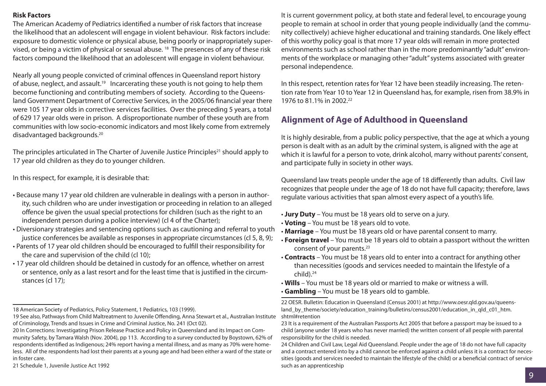#### **Risk Factors**

The American Academy of Pediatrics identified a number of risk factors that increase the likelihood that an adolescent will engage in violent behaviour. Risk factors include: exposure to domestic violence or physical abuse, being poorly or inappropriately supervised, or being a victim of physical or sexual abuse. 18 The presences of any of these risk factors compound the likelihood that an adolescent will engage in violent behaviour.

Nearly all young people convicted of criminal offences in Queensland report history of abuse, neglect, and assault.19 Incarcerating these youth is not going to help them become functioning and contributing members of society. According to the Queensland Government Department of Corrective Services, in the 2005/06 financial year there were 105 17 year olds in corrective services facilities. Over the preceding 5 years, a total of 629 17 year olds were in prison. A disproportionate number of these youth are from communities with low socio-economic indicators and most likely come from extremely disadvantaged backgrounds.20

The principles articulated in The Charter of Juvenile Justice Principles<sup>21</sup> should apply to 17 year old children as they do to younger children.

In this respect, for example, it is desirable that:

- Because many 17 year old children are vulnerable in dealings with a person in authority, such children who are under investigation or proceeding in relation to an alleged offence be given the usual special protections for children (such as the right to an independent person during a police interview) (cl 4 of the Charter);
- Diversionary strategies and sentencing options such as cautioning and referral to youth justice conferences be available as responses in appropriate circumstances (cl 5, 8, 9);
- Parents of 17 year old children should be encouraged to fulfill their responsibility for the care and supervision of the child (cl 10);
- 17 year old children should be detained in custody for an offence, whether on arrest or sentence, only as a last resort and for the least time that is justified in the circumstances (cl 17);

18 American Society of Pediatrics, Policy Statement, 1 Pediatrics, 103 (1999).

21 Schedule 1, Juvenile Justice Act 1992

It is current government policy, at both state and federal level, to encourage young people to remain at school in order that young people individually (and the community collectively) achieve higher educational and training standards. One likely effect of this worthy policy goal is that more 17 year olds will remain in more protected environments such as school rather than in the more predominantly "adult" environments of the workplace or managing other "adult" systems associated with greater personal independence.

In this respect, retention rates for Year 12 have been steadily increasing. The retention rate from Year 10 to Year 12 in Queensland has, for example, risen from 38.9% in 1976 to 81.1% in 2002.22

#### **Alignment of Age of Adulthood in Queensland**

It is highly desirable, from a public policy perspective, that the age at which a young person is dealt with as an adult by the criminal system, is aligned with the age at which it is lawful for a person to vote, drink alcohol, marry without parents' consent, and participate fully in society in other ways.

Queensland law treats people under the age of 18 differently than adults. Civil law recognizes that people under the age of 18 do not have full capacity; therefore, laws regulate various activities that span almost every aspect of a youth's life.

- **Jury Duty** You must be 18 years old to serve on a jury.
- **Voting** You must be 18 years old to vote.
- **Marriage** You must be 18 years old or have parental consent to marry.
- **Foreign travel** You must be 18 years old to obtain a passport without the written consent of your parents.<sup>23</sup>
- **Contracts** You must be 18 years old to enter into a contract for anything other than necessities (goods and services needed to maintain the lifestyle of a  $child).<sup>24</sup>$
- **Wills** You must be 18 years old or married to make or witness a will.
- **Gambling** You must be 18 years old to gamble.

22 OESR. Bulletin: Education in Queensland (Census 2001) at http://www.oesr.qld.gov.au/queensland\_by\_theme/society/education\_training/bulletins/census2001/education\_in\_qld\_c01\_htm. shtml#retention

23 It is a requirement of the Australian Passports Act 2005 that before a passport may be issued to a child (anyone under 18 years who has never married) the written consent of all people with parental responsibility for the child is needed.

24 Children and Civil Law, Legal Aid Queensland. People under the age of 18 do not have full capacity and a contract entered into by a child cannot be enforced against a child unless it is a contract for necessities (goods and services needed to maintain the lifestyle of the child) or a beneficial contract of service such as an apprenticeship

<sup>19</sup> See also, Pathways from Child Maltreatment to Juvenile Offending, Anna Stewart et al., Australian Institute of Criminology, Trends and Issues in Crime and Criminal Justice, No. 241 (Oct 02).

<sup>20</sup> In Corrections: Investigating Prison Release Practice and Policy in Queensland and its Impact on Community Safety, by Tamara Walsh (Nov. 2004), pp 113. According to a survey conducted by Boystown, 62% of respondents identified as Indigenous; 24% report having a mental illness, and as many as 70% were homeless. All of the respondents had lost their parents at a young age and had been either a ward of the state or in foster care.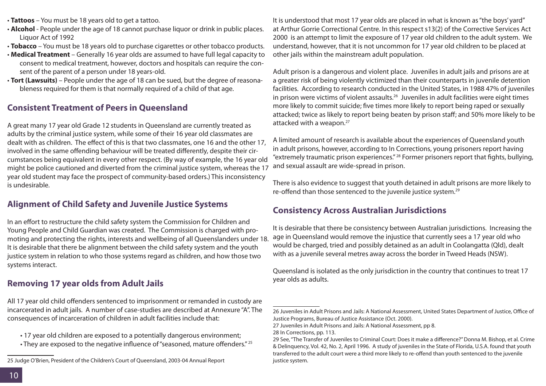- **Tattoos** You must be 18 years old to get a tattoo.
- **Alcohol**  People under the age of 18 cannot purchase liquor or drink in public places. Liquor Act of 1992
- **Tobacco** You must be 18 years old to purchase cigarettes or other tobacco products.
- **Medical Treatment** Generally 16 year olds are assumed to have full legal capacity to consent to medical treatment, however, doctors and hospitals can require the consent of the parent of a person under 18 years-old.
- **Tort (Lawsuits)** People under the age of 18 can be sued, but the degree of reasonableness required for them is that normally required of a child of that age.

#### **Consistent Treatment of Peers in Queensland**

A great many 17 year old Grade 12 students in Queensland are currently treated as adults by the criminal justice system, while some of their 16 year old classmates are dealt with as children. The effect of this is that two classmates, one 16 and the other 17, involved in the same offending behaviour will be treated differently, despite their circumstances being equivalent in every other respect. (By way of example, the 16 year old might be police cautioned and diverted from the criminal justice system, whereas the 17 year old student may face the prospect of community-based orders.) This inconsistency is undesirable.

#### **Alignment of Child Safety and Juvenile Justice Systems**

In an effort to restructure the child safety system the Commission for Children and Young People and Child Guardian was created. The Commission is charged with promoting and protecting the rights, interests and wellbeing of all Queenslanders under 18. It is desirable that there be alignment between the child safety system and the youth justice system in relation to who those systems regard as children, and how those two systems interact.

#### **Removing 17 year olds from Adult Jails**

All 17 year old child offenders sentenced to imprisonment or remanded in custody are incarcerated in adult jails. A number of case-studies are described at Annexure "A". The consequences of incarceration of children in adult facilities include that:

- 17 year old children are exposed to a potentially dangerous environment;
- They are exposed to the negative influence of "seasoned, mature offenders." <sup>25</sup>

It is understood that most 17 year olds are placed in what is known as "the boys' yard" at Arthur Gorrie Correctional Centre. In this respect s13(2) of the Corrective Services Act 2000 is an attempt to limit the exposure of 17 year old children to the adult system. We understand, however, that it is not uncommon for 17 year old children to be placed at other jails within the mainstream adult population.

Adult prison is a dangerous and violent place. Juveniles in adult jails and prisons are at a greater risk of being violently victimized than their counterparts in juvenile detention facilities. According to research conducted in the United States, in 1988 47% of juveniles in prison were victims of violent assaults.<sup>26</sup> Juveniles in adult facilities were eight times more likely to commit suicide; five times more likely to report being raped or sexually attacked; twice as likely to report being beaten by prison staff; and 50% more likely to be attacked with a weapon.<sup>27</sup>

A limited amount of research is available about the experiences of Queensland youth in adult prisons, however, according to In Corrections, young prisoners report having "extremely traumatic prison experiences." 28 Former prisoners report that fights, bullying, and sexual assault are wide-spread in prison.

There is also evidence to suggest that youth detained in adult prisons are more likely to re-offend than those sentenced to the juvenile justice system.29

#### **Consistency Across Australian Jurisdictions**

It is desirable that there be consistency between Australian jurisdictions. Increasing the age in Queensland would remove the injustice that currently sees a 17 year old who would be charged, tried and possibly detained as an adult in Coolangatta (Qld), dealt with as a juvenile several metres away across the border in Tweed Heads (NSW).

Queensland is isolated as the only jurisdiction in the country that continues to treat 17 year olds as adults.

<sup>25</sup> Judge O'Brien, President of the Children's Court of Queensland, 2003-04 Annual Report

<sup>26</sup> Juveniles in Adult Prisons and Jails: A National Assessment, United States Department of Justice, Office of Justice Programs, Bureau of Justice Assistance (Oct. 2000).

<sup>27</sup> Juveniles in Adult Prisons and Jails: A National Assessment, pp 8.

<sup>28</sup> In Corrections, pp. 113.

<sup>29</sup> See, "The Transfer of Juveniles to Criminal Court: Does it make a difference?" Donna M. Bishop, et al. Crime & Delinquency, Vol. 42, No. 2, April 1996. A study of juveniles in the State of Florida, U.S.A. found that youth transferred to the adult court were a third more likely to re-offend than youth sentenced to the juvenile justice system.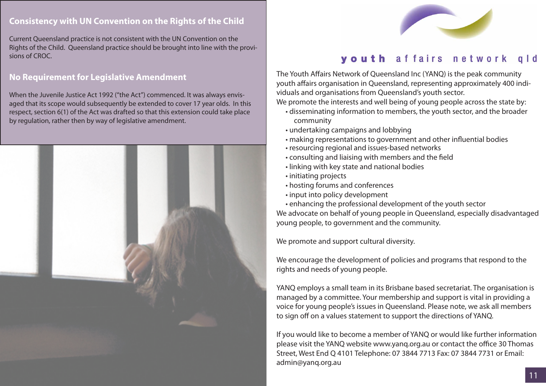#### **Consistency with UN Convention on the Rights of the Child**

Current Queensland practice is not consistent with the UN Convention on the Rights of the Child. Queensland practice should be brought into line with the provisions of CROC.

#### **No Requirement for Legislative Amendment**

When the Juvenile Justice Act 1992 ("the Act") commenced. It was always envisaged that its scope would subsequently be extended to cover 17 year olds. In this respect, section 6(1) of the Act was drafted so that this extension could take place by regulation, rather then by way of legislative amendment.





### youth affairs network

The Youth Affairs Network of Queensland Inc (YANQ) is the peak community youth affairs organisation in Queensland, representing approximately 400 individuals and organisations from Queensland's youth sector.

We promote the interests and well being of young people across the state by:

- disseminating information to members, the youth sector, and the broader community
- undertaking campaigns and lobbying
- making representations to government and other influential bodies
- resourcing regional and issues-based networks
- consulting and liaising with members and the field
- linking with key state and national bodies
- initiating projects
- hosting forums and conferences
- input into policy development
- enhancing the professional development of the youth sector We advocate on behalf of young people in Queensland, especially disadvantaged young people, to government and the community.

We promote and support cultural diversity.

We encourage the development of policies and programs that respond to the rights and needs of young people.

YANQ employs a small team in its Brisbane based secretariat. The organisation is managed by a committee. Your membership and support is vital in providing a voice for young people's issues in Queensland. Please note, we ask all members to sign off on a values statement to support the directions of YANQ.

If you would like to become a member of YANQ or would like further information please visit the YANQ website www.yanq.org.au or contact the office 30 Thomas Street, West End Q 4101 Telephone: 07 3844 7713 Fax: 07 3844 7731 or Email: admin@yanq.org.au